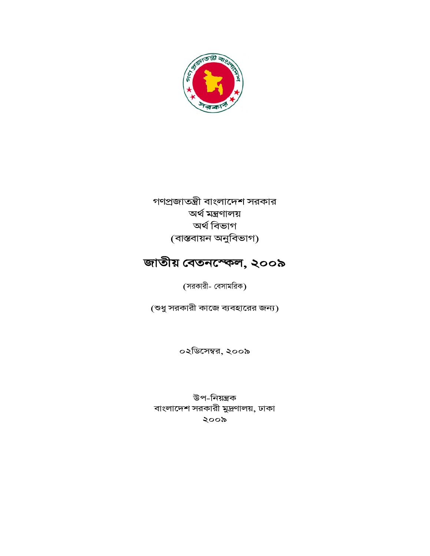

গণপ্রজাতন্ত্রী বাংলাদেশ সরকার অৰ্থ মন্ত্ৰণালয় অৰ্থ বিভাগ (বাস্তবায়ন অনুবিভাগ)

# জাতীয় বেতনস্ফেল, ২০০৯

(সরকারী- বেসামরিক)

(শুধু সরকারী কাজে ব্যবহারের জন্য)

০২ডিসেম্বর, ২০০৯

উপ-নিয়ন্ত্ৰক বাংলাদেশ সরকারী মুদ্রণালয়, ঢাকা ২০০৯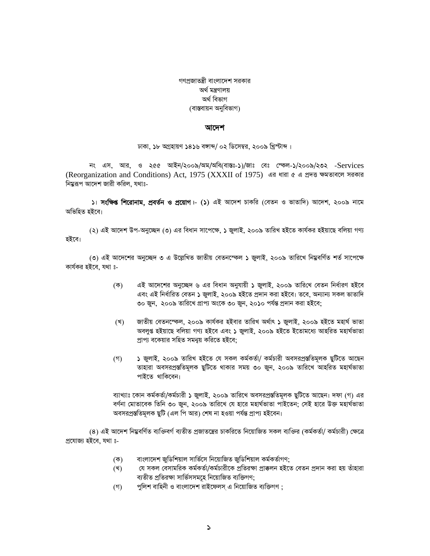গণপ্রজাতন্ত্রী বাংলাদেশ সরকার অৰ্থ মন্ত্ৰণালয় অৰ্থ বিভাগ (বাস্তবায়ন অনুবিভাগ)

#### আদেশ

ঢাকা, ১৮ অগ্রহায়ণ ১৪১৬ বঙ্গাব্দ/ ০২ ডিসেম্বর, ২০০৯ খ্রিস্টাব্দ।

নং এস, আর, ও ২৫৫ আইন/২০০৯/অম/অবি(বাস্তঃ-১)/জাঃ বেঃ স্কেল-১/২০০৯/২৩২ -Services (Reorganization and Conditions) Act, 1975 (XXXII of 1975) এর ধারা ৫ এ প্রদত্ত ক্ষমতাবলে সরকার নিম্নরূপ আদেশ জারী করিল, যথাঃ-

১। **সংক্ষিপ্ত শিরোনাম, প্রবর্তন ও প্রয়োগ**।- (১) এই আদেশ চাকরি (বেতন ও ভাতাদি) আদেশ, ২০০৯ নামে অভিহিত হইবে।

(২) এই আদেশ উপ-অনুচ্ছেদ (৩) এর বিধান সাপেক্ষে, ১ জুলাই, ২০০৯ তারিখ হইতে কার্যকর হইয়াছে বলিয়া গণ্য হইবে।

(৩) এই আদেশের অনচ্ছেদ ৩ এ উল্লেখিত জাতীয় বেতনস্ফেল ১ জলাই. ২০০৯ তারিখে নিম্নবর্ণিত শর্ত সাপেক্ষে কাৰ্যকর হইবে, যথা ঃ-

- এই আদেশের অনুচ্ছেদ ৬ এর বিধান অনুযায়ী ১ জুলাই, ২০০৯ তারিখে বেতন নির্ধারণ হইবে  $(\overline{\Phi})$ এবং এই নিৰ্ধারিত বেতন ১ জুলাই, ২০০৯ হইতে প্ৰদান করা হইবে। তবে, অন্যান্য সকল ভাতাদি ৩০ জুন, ২০০৯ তারিখে প্রাপ্য অংকে ৩০ জুন, ২০১০ পর্যন্ত প্রদান করা হইবে;
- জাতীয় বেতনস্ফেল, ২০০৯ কাৰ্যকর হইবার তারিখ অর্থাৎ ১ জুলাই, ২০০৯ হইতে মহার্ঘ ভাতা (খ) অবলুপ্ত হইয়াছে বলিয়া গণ্য হইবে এবং ১ জুলাই, ২০০৯ হইতে ইতোমধ্যে আহরিত মহার্ঘভাতা প্রাপ্য বকেয়ার সহিত সমন্বয় করিতে হইবে;
- $($ গ ১ জুলাই, ২০০৯ তারিখ হইতে যে সকল কর্মকর্তা/ কর্মচারী অবসরপ্রস্ততিমূলক ছুটিতে আছেন তাহারা অবসরপ্রস্ততিমূলক ছুটিতে থাকার সময় ৩০ জুন, ২০০৯ তারিখে আহরিত মহার্ঘভাতা পাইতে থাকিবেন।

ব্যাখ্যাঃ কোন কৰ্মকৰ্তা/কৰ্মচারী ১ জলাই, ২০০৯ তারিখে অবসরপ্রস্ততিমলক ছটিতে আছেন। দফা (গ) এর বর্ণনা মোতাবেক তিনি ৩০ জুন, ২০০৯ তারিখে যে হারে মহার্ঘভাতা পাইতেন; সেই হারে উক্ত মহার্ঘভাতা অবসরপ্রস্ততিমূলক ছুটি (এল পি আর) শেষ না হওয়া পর্যন্ত প্রাপ্য হইবেন।

(৪) এই আদেশ নিয়ুবর্ণিত ব্যক্তিবর্গ ব্যতীত প্রজাতন্ত্রের চাকরিতে নিয়োজিত সকল ব্যক্তির (কর্মকর্তা/ কর্মচারী) ক্ষেত্রে প্ৰযোজ্য হইবে, যথা ঃ-

- বাংলাদেশ জুডিশিয়াল সার্ভিসে নিয়োজিত জুডিশিয়াল কর্মকর্তাগণ; (ক)
- যে সকল বেসামরিক কর্মকর্তা/কর্মচারীকে প্রতিরক্ষা প্রাক্কলন হইতে বেতন প্রদান করা হয় তাঁহারা (খ) ব্যতীত প্ৰতিৱক্ষা সাৰ্ভিসসমহে নিয়োজিত ব্যক্তিগণ:
- পুলিশ বাহিনী ও বাংলাদেশ রাইফেলস এ নিয়োজিত ব্যক্তিগণ :  $($ গ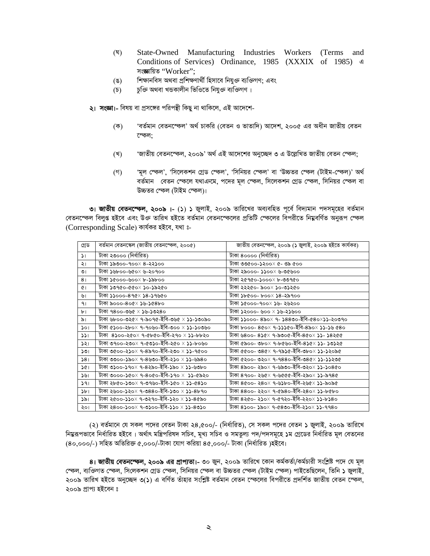- State-Owned Manufacturing Industries Workers (Terms and (ঘ) Conditions of Services) Ordinance, 1985 (XXXIX of 1985) a সংজ্ঞায়িত "Worker":
- শিক্ষানবিস অথবা প্রশিক্ষণার্থী হিসাবে নিযুক্ত ব্যক্তিগণ; এবং  $(8)$
- চক্তি অথবা খন্ডকালীন ভিওিতে নিযজ্ঞ ব্যক্তিগণ।  $(\mathcal{D})$

২। সংজ্ঞা।- বিষয় বা প্রসঙ্গের পরিপন্থী কিছু না থাকিলে, এই আদেশে-

- $(\overline{\Phi})$ 'বৰ্তমান বেতনস্কেল' অৰ্থ চাকরি (বেতন ও ভাতাদি) আদেশ, ২০০৫ এর অধীন জাতীয় বেতন স্কেল:
- 'জাতীয় বেতনস্ফেল, ২০০৯' অর্থ এই আদেশের অনুচ্ছেদ ৩ এ উল্লেখিত জাতীয় বেতন স্ফেল; (খ)
- 'মূল স্ফেল', 'সিলেকশন গ্রেড স্ফেল', 'সিনিয়র স্ফেল' বা 'উচ্চতর স্ফেল (টাইম-স্ফেল)' অর্থ  $($ গ) বর্তমান বেতন স্কেলে যথাএনমে, পদের মূল স্কেল, সিলেকশন গ্রেড স্কেল, সিনিয়র স্কেল বা উচ্চতর স্ফেল (টাইম স্ফেল)।

৩। জাতীয় বেতনস্কেল, ২০০৯ i- (১) ১ জুলাই, ২০০৯ তারিখের অব্যবহিত পূর্বে বিদ্যমান পদসমূহের বর্তমান বেতনস্ফেল বিলুপ্ত হইবে এবং উক্ত তারিখ হইতে বর্তমান বেতনস্ফেলের প্রতিটি স্ফেলের বিপরীতে নিয়ুবর্ণিত অনুরূপ স্ফেল (Corresponding Scale) কাৰ্যকর হইবে, যথা ঃ-

| গ্ৰেড             | বর্তমান বেতনস্কেল (জাতীয় বেতনস্ফেল, ২০০৫)       | জাতীয় বেতনস্ফেল, ২০০৯ (১ জুলাই, ২০০৯ হইতে কাৰ্যকর) |
|-------------------|--------------------------------------------------|-----------------------------------------------------|
| $\mathcal{L}$     | টাকা ২৩০০০ (নিৰ্ধারিত)                           | টাকা ৪০০০০ (নিৰ্ধারিত)                              |
| ২।                | টাকা ১৯৩০০-৭০০× ৪-২২১০০                          | টাকা ৩৩৫০০-১২০০× ৫- ৩৯ ৫০০                          |
| ৩।                | টাকা ১৬৮০০-৬৫০× ৬-২০৭০০                          | টাকা ২৯০০০- ১১০০× ৬-৩৫৬০০                           |
| 8 <sub>1</sub>    | টাকা ১৫০০০-৬০০× ৮-১৯৮০০                          | টাকা ২৫৭৫০-১০০০× ৮-৩৩৭৫০                            |
| $\mathcal{C}$     | টাকা ১৩৭৫০-৫৫০× ১০-১৯২৫০                         | টাকা ২২২৫০- ৯০০× ১০-৩১২৫০                           |
| ৬।                | টাকা ১১০০০-৪৭৫× ১৪-১৭৬৫০                         | টাকা ১৮৫০০- ৮০০× ১৪-২৯৭০০                           |
| 91                | টাকা ৯০০০-৪০৫× ১৬-১৫৪৮০                          | টাকা ১৫০০০-৭০০× ১৬- ২৬২০০                           |
| $b$ <sup>-1</sup> | টাকা ৭৪০০-৩৬৫ × ১৬-১৩২৪০                         | টাকা ১২০০০- ৬০০ × ১৬-২১৬০০                          |
| ৯৷                | টাকা ৬৮০০-৩২৫× ৭-৯০৭৫-ইবি-৩৬৫ × <b>১১-১৩</b> ০৯০ | টাকা ১১০০০- ৪৯০× ৭- ১৪৪৩০-ইবি-৫৪০×১১-২০৩৭০          |
| $\mathcal{L}$     | টাকা ৫১০০-২৮০× ৭-৭০৬০-ইবি-৩০০ × ১১-১০৩৬০         | টাকা ৮০০০- ৪৫০× ৭-১১১৫০-ইবি-৪৯০× ১১-১৬ ৫৪০          |
| 331               | টাকা ৪১০০-২৫০× ৭-৫৮৫০-ইবি-২৭০ × ১১-৮৮২০          | টাকা ৬৪০০- ৪১৫× ৭-৯৩০৫-ইবি-৪৫০× ১১- ১৪২৫৫           |
| ১২।               | টাকা ৩৭০০-২৩০× ৭-৫৩১০-ইবি-২৫০ × ১১-৮০৬০          | টাকা ৫৯০০- ৩৮০× ৭-৮৫৬০-ইবি-৪১৫× ১১- ১৩১২৫           |
| ১৩।               | টাকা ৩৫০০-২১০× ৭-৪৯৭০-ইবি-২৩০ × ১১-৭৫০০          | টাকা ৫৫০০- ৩৪৫× ৭-৭৯১৫-ইবি-৩৮০× ১১-১২০৯৫            |
| 381               | টাকা ৩৩০০-১৯০× ৭-৪৬৩০-ইবি-২১০ × ১১-৬৯৪০          | টাকা ৫২০০- ৩২০× ৭-৭৪৪০-ইবি-৩৪৫× ১১-১১২৩৫            |
| 361               | টাকা ৩১০০-১৭০× ৭-৪২৯০-ইবি-১৯০ × ১১-৬৩৮০          | টাকা ৪৯০০- ২৯০× ৭-৬৯৩০-ইবি-৩২০× ১১-১০৪৫০            |
| ১৬।               | টাকা ৩০০০-১৫০× ৭-৪০৫০-ইবি-১৭০ ×  ১১-৫৯২০         | টাকা ৪৭০০- ২৬৫× ৭-৬৫৫৫-ইবি-২৯০× ১১-৯৭৪৫             |
| 391               | টাকা ২৮৫০-১৩০× ৭-৩৭৬০-ইবি-১৫০ × ১১-৫৪১০          | টাকা ৪৫০০- ২৪০× ৭-৬১৮০-ইবি-২৬৫× ১১-৯০৯৫             |
| ১৮।               | টাকা ২৬০০-১২০× ৭-৩৪৪০-ইবি-১৩০ × ১১-৪৮৭০          | টাকা ৪৪০০- ২২০× ৭-৫৯৪০-ইবি-২৪০× ১১-৮৫৮০             |
| ১৯।               | টাকা ২৫০০-১১০× ৭-৩২৭০-ইবি-১২০ × ১১-৪৫৯০          | টাকা ৪২৫০- ২১০× ৭-৫৭২০-ইবি-২২০× ১১-৮১৪০             |
| ২০।               | টাকা ২৪০০-১০০× ৭-৩১০০-ইবি-১১০ × ১১-৪৩১০          | টাকা ৪১০০- ১৯০× ৭-৫৪৩০-ইবি-২১০× ১১-৭৭৪০             |

(২) বর্তমানে যে সকল পদের বেতন টাকা ২৪,৫০০/- (নির্ধারিত), সে সকল পদের বেতন ১ জুলাই, ২০০৯ তারিখে নিয়ুরূপভাবে নির্ধারিত হইবে। অর্থাৎ মন্ত্রিপরিষদ সচিব, মূখ্য সচিব ও সমতুল্য পদ/পদসমূহে ১ম গ্রেডের নির্ধারিত মূল বেতনের (80,000/-) সহিত অতিরিক্ত ৫,০০০/-টাকা যোগ করিয়া ৪৫,০০০/- টাকা (নির্ধারিত )হইবে।

৪। **জাতীয় বেতনস্ফেল, ২০০৯ এর প্রাপ্যতা।-** ৩০ জন, ২০০৯ তারিখে কোন কর্মকর্তা/কর্মচারী সংশ্লিষ্ট পদে যে মূল স্কেল, ব্যক্তিগত স্কেল, সিলেকশন গ্রেড স্কেল, সিনিয়র স্কেল বা উচ্চতর স্কেল (টাইম স্কেল) পাইতেছিলেন, তিনি ১ জুলাই, ২০০৯ তারিখ হইতে অনুচ্ছেদ ৩(১) এ বর্ণিত তাঁহার সংশ্লিষ্ট বর্তমান বেতন স্কেলের বিপরীতে প্রদর্শিত জাতীয় বেতন স্কেল, ২০০৯ প্ৰাপ্য হইবেন ঃ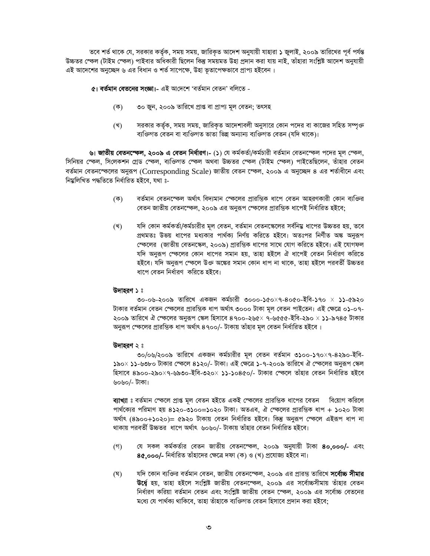তবে শর্ত থাকে যে, সরকার কর্তৃক, সময় সময়, জারিকৃত আদেশ অনুযায়ী যাহারা ১ জুলাই, ২০০৯ তারিখের পূর্ব পর্যন্ত উচ্চতর স্কেল (টাইম স্কেল) পাইবার অধিকারী ছিলেন কিন্তু সময়মত উহা প্রদান করা যায় নাই, তাঁহারা সংশ্লিষ্ট আদেশ অনুযায়ী এই আদেশের অনুচ্ছেদ ৬ এর বিধান ও শর্ত সাপেক্ষে, উহা ভূতাপেক্ষভাবে প্রাপ্য হইবেন।

#### ৫। বর্তমান বেতনের সংজ্ঞা।- এই আদেশে 'বর্তমান বেতন' বলিতে -

- (ক) ৩০ জুন, ২০০৯ তারিখে প্রাপ্ত বা প্রাপ্য মূল বেতন; তৎসহ
- সরকার কর্তৃক, সময় সময়, জারিকত আদেশাবলী অনুসারে কোন পদের বা কাজের সহিত সম্পুক্ত (খ) ব্যক্তিগত বেতন বা ব্যক্তিগত ভাতা ভিন্ন অন্যান্য ব্যক্তিগত বেতন (যদি থাকে)।

ঙা **জাতীয় বেতনস্ফেল, ২০০৯ এ বেতন নির্ধারণ।- (১)** যে কর্মকর্তা/কর্মচারী বর্তমান বেতনস্ফেল পদের মূল স্ফেল, সিনিয়র স্কেল, সিলেকশন গ্রেড স্কেল, ব্যক্তিগত স্কেল অথবা উচ্চতর স্কেল (টাইম স্কেল) পাইতেছিলেন, তাঁহার বেতন বর্তমান বেতনস্কেলের অনুরূপ (Corresponding Scale) জাতীয় বেতন স্কেল, ২০০৯ এ অনুচ্ছেদ ৪ এর শর্তাধীনে এবং নিয়ুলিখিত পদ্ধতিতে নিৰ্ধারিত হইবে, যথা ঃ-

- বর্তমান বেতনস্কেল অর্থাৎ বিদামান স্কেলের প্রারম্ভিক ধাপে বেতন আহরণকারী কোন ব্যক্তির  $(\overline{\Phi})$ বেতন জাতীয় বেতনস্ফেল, ২০০৯ এর অনুরূপ স্ফেলের প্রারম্ভিক ধাপেই নির্ধারিত হইবে:
- (খ) যদি কোন কর্মকর্তা/কর্মচারীর মূল বেতন, বর্তমান বেতনস্কেলের সর্বনিয়ু ধাপের উচ্চতর হয়, তবে প্রথমতঃ উভয় ধাপের মধ্যকার পার্থক্য নির্ণয় করিতে হইবে। অতঃপর নির্ণীত অঙ্ক অনরূপ স্কেলের (জাতীয় বেতনস্কেল, ২০০৯) প্রারম্ভিক ধাপের সাথে যোগ করিতে হইবে। এই যোগফল যদি অনুরূপ স্কেলের কোন ধাপের সমান হয়, তাহা হইলে ঐ ধাপেই বেতন নির্ধারণ করিতে হইবে। যদি অনুরূপ স্কেলে উক্ত অঙ্কের সমান কোন ধাপ না থাকে, তাহা হইলে পরবর্তী উচ্চতর ধাপে বেতন নির্ধারণ করিতে হইবে।

#### উদাহরণ ১ঃ

৩০-০৬-২০০৯ তারিখে একজন কর্মচারী ৩০০০-১৫০×৭-৪০৫০-ইবি-১৭০ × ১১-৫৯২০ টাকার বর্তমান বেতন স্কেলের প্রারম্ভিক ধাপ অর্থাৎ ৩০০০ টাকা মূল বেতন পাইতেন। এই ক্ষেত্রে ০১-০৭-২০০৯ তারিখে ঐ স্কেলের অনুরূপ স্কেল হিসাবে ৪৭০০-২৬৫ $\times$  ৭-৬৫৫৫-ইবি-২৯০  $\times$  ১১-৯৭৪৫ টাকার অনুরূপ স্কেলের প্রারম্ভিক ধাপ অর্থাৎ ৪৭০০/- টাকায় তাঁহার মূল বেতন নির্ধারিত হইবে ।

#### উদাহরণ ২ ঃ

৩০/০৬/২০০৯ তারিখে একজন কর্মচারীর মূল বেতন বর্তমান ৩১০০-১৭০×৭-৪২৯০-ইবি-১৯০× ১১-৬৩৮০ টাকার স্কেলে ৪১২০/- টাকা। এই ক্ষেত্রে ১-৭-২০০৯ তারিখে ঐ স্কেলের অনুরূপ স্কেল হিসাবে ৪৯০০-২৯০×৭-৬৯৩০-ইবি-৩২০× ১১-১০৪৫০/- টাকার স্কেলে তাঁহার বেতন নির্ধারিত হইবে ৬০৬০/- টাকা।

**ব্যাখ্যা**ঃ বর্তমান স্কেলে প্রাপ্ত মূল বেতন হইতে একই স্কেলের প্রারম্ভিক ধাপের বেতন বিয়োগ করিলে পার্থক্যের পরিমাণ হয় ৪১২০-৩১০০=১০২০ টাকা। অতএব, ঐ স্কেলের প্রারম্ভিক ধাপ + ১০২০ টাকা অৰ্থাৎ (৪৯০০+১০২০)= ৫৯২০ টাকায় বেতন নিৰ্ধারিত হইবে। কিন্তু অনরূপ স্কেলে এইরূপ ধাপ না থাকায় পরবর্তী উচ্চতর ধাপে অর্থাৎ ৬০৬০/- টাকায় তাঁহার বেতন নির্ধারিত হইবে।

- যে সকল কৰ্মকৰ্তার বেতন জাতীয় বেতনস্ফেল, ২০০৯ অনুযায়ী টাকা **৪০.০০০/-** এবং  $($ গ) 8৫,০০০/- নির্ধারিত তাঁহাদের ক্ষেত্রে দফা (ক) ও (খ) প্রযোজ্য হইবে না।
- যদি কোন ব্যক্তির বর্তমান বেতন, জাতীয় বেতনস্ফেল, ২০০৯ এর প্রারম্ভ তারিখে **সর্বোচ্চ সীমার** (ঘ) উর্ধ্বে হয়, তাহা হইলে সংশ্লিষ্ট জাতীয় বেতনস্ফেল, ২০০৯ এর সর্বোচ্চসীমায় তাঁহার বেতন নির্ধারণ করিয়া বর্তমান বেতন এবং সংশ্লিষ্ট জাতীয় বেতন স্কেল, ২০০৯ এর সর্বোচ্চ বেতনের মধ্যে যে পাৰ্থক্য থাকিবে, তাহা তাঁহাকে ব্যক্তিগত বেতন হিসাবে প্ৰদান করা হইবে: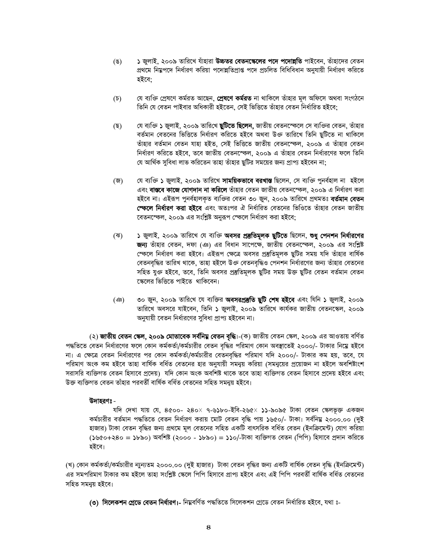- $(8)$ ১ জুলাই, ২০০৯ তারিখে যাঁহারা **উচ্চতর বেতনস্কেলের পদে পদোন্নতি** পাইবেন, তাঁহাদের বেতন প্ৰথমে নিয়ুপদে নিৰ্ধারণ করিয়া পদোন্নতিপ্ৰাপ্ত পদে প্ৰচলিত বিধিবিধান অনুযায়ী নিৰ্ধারণ করিতে হইবে:
- যে ব্যক্তি প্ৰেষণে কৰ্মরত আছেন**. প্ৰেষণে কৰ্মরত** না থাকিলে তাঁহার মূল অফিসে অথবা সংগঠনে  $(\mathfrak{d})$ তিনি যে বেতন পাইবার অধিকারী হইতেন, সেই ভিত্তিতে তাঁহার বেতন নির্ধারিত হইবে:
- যে ব্যক্তি ১ জুলাই, ২০০৯ তারিখে **ছটিতে ছিলেন,** জাতীয় বেতনস্ফেলে সে ব্যক্তির বেতন, তাঁহার (ছ) বর্তমান বেতনের ভিত্তিতে নির্ধারণ করিতে হইবে অথবা উক্ত তারিখে তিনি ছুটিতে না থাকিলে তাঁহার বর্তমান বেতন যাহা হইত, সেই ভিত্তিতে জাতীয় বেতনস্ফেল, ২০০৯ এ তাঁহার বেতন নির্ধারণ করিতে হইবে, তবে জাতীয় বেতনস্ফেল, ২০০৯ এ তাঁহার বেতন নির্ধারণের ফলে তিনি যে আর্থিক সুবিধা লাভ করিতেন তাহা তাঁহার ছুটির সময়ের জন্য প্রাপ্য হইবেন না:
- যে ব্যক্তি ১ জুলাই, ২০০৯ তারিখে **সাময়িকভাবে বরখাস্ত** ছিলেন, সে ব্যক্তি পুনর্বহাল না হইলে (জ) এবং **বাস্তবে কাজে যোগদান না করিলে** তাঁহার বেতন জাতীয় বেতনস্ফেল, ২০০৯ এ নির্ধারণ করা হইবে না। এইরূপ পুনর্বহালকৃত ব্যক্তির বেতন ৩০ জুন, ২০০৯ তারিখে প্রথমতঃ **বর্তমান বেতন স্কেলে নির্ধারণ করা হইবে** এবং অতঃপর ঐ নির্ধারিত বেতনের ভিওিতে তাঁহার বেতন জাতীয় বেতনস্কেল, ২০০৯ এর সংশ্লিষ্ট অনুরূপ স্কেলে নির্ধারণ করা হইবে;
- ১ জুলাই, ২০০৯ তারিখে যে ব্যক্তি **অবসর প্রস্তুতিমূলক ছুটিতে** ছিলেন, **শুধু পেনশন নির্ধারণের** (ঝ) **জন্য** তাঁহার বেতন, দফা (ঞ) এর বিধান সাপেক্ষে, জাতীয় বেতনস্কেল, ২০০৯ এর সংশ্লিষ্ট স্কেলে নির্ধারণ করা হইবে। এইরূপ ক্ষেত্রে অবসর প্রস্তুতিমূলক ছুটির সময় যদি তাঁহার বার্ষিক বেতনবৃদ্ধির তারিখ থাকে, তাহা হইলে উক্ত বেতনবৃদ্ধিও পেনশন নির্ধারণের জন্য তাঁহার বেতনের সহিত যুক্ত হইবে, তবে, তিনি অবসর প্রস্তুতিমূলক ছটির সময় উক্ত ছটির বেতন বর্তমান বেতন স্কেলের ভিত্তিতে পাইতে থাকিবেন।
- ৩০ জুন, ২০০৯ তারিখে যে ব্যক্তির **অবসরপ্রস্তুতি ছুটি শেষ হইবে** এবং যিনি ১ জুলাই, ২০০৯  $($ তারিখে অবসরে যাইবেন, তিনি ১ জুলাই, ২০০৯ তারিখে কার্যকর জাতীয় বেতনস্কেল, ২০০৯ অনুযায়ী বেতন নির্ধারণের সুবিধা প্রাপ্য হইবেন না।

(২) **জাতীয় বেতন স্কেল, ২০০৯ মোতাবেক সর্বনিম্ন বেতন বৃদ্ধি**।-(ক) জাতীয় বেতন স্কেল, ২০০৯ এর আওতায় বর্ণিত পদ্ধতিতে বেতন নির্ধারণের ফলে কোন কর্মকর্তা/কর্মচারীর বেতন বৃদ্ধির পরিমাণ কোন অবস্থাতেই ২০০০/- টাকার নিম্নে হইবে না। এ ক্ষেত্রে বেতন নির্ধারণের পর কোন কর্মকর্তা/কর্মচারীর বেতনবৃদ্ধির পরিমাণ যদি ২০০০/- টাকার কম হয়, তবে, যে পরিমাণ অংক কম হইবে তাহা বার্ষিক বর্ধিত বেতনের হার অনুযায়ী সমনুয় করিয়া (সমনুয়ের প্রয়োজন না হইলে অবশিষ্টাংশ সরাসরি ব্যক্তিগত বেতন হিসাবে প্রদেয়) যদি কোন অংক অবশিষ্ট থাকে তবে তাহা ব্যক্তিগত বেতন হিসাবে প্রদেয় হইবে এবং উক্ত ব্যক্তিগত বেতন তাঁহার পরবর্তী বার্ষিক বর্ধিত বেতনের সহিত সমন্বয় হইবে।

## উদাহরণঃ -

যদি দেখা যায় যে, ৪৫০০- ২৪০× ৭-৬১৮০-ইবি-২৬৫× ১১-৯০৯৫ টাকা বেতন স্কেলভূক্ত একজন কর্মচারীর বর্তমান পদ্ধতিতে বেতন নির্ধারণ করায় মোট বেতন বৃদ্ধি পায় ১৬৫০/- টাকা। সর্বনিয় ২০০০.০০ (দুই হাজার) টাকা বেতন বৃদ্ধির জন্য প্রথমে মূল বেতনের সহিত একটি বাৎসরিক বর্ধিত বেতন (ইনক্রিমেন্ট) যোগ করিয়া (১৬৫০+২৪০ = ১৮৯০) অবশিষ্ট (২০০০ - ১৮৯০) = ১১০/-টাকা ব্যক্তিগত বেতন (পিপি) হিসাবে প্রদান করিতে হইবে।

(খ) কোন কর্মকর্তা/কর্মচারীর ন্যুন্যতম ২০০০.০০ (দুই হাজার) টাকা বেতন বৃদ্ধির জন্য একটি বার্ষিক বেতন বৃদ্ধি (ইনক্রিমেন্ট) এর সমপরিমাণ টাকার কম হইলে তাহা সংশ্লিষ্ট স্কেলে পিপি হিসাবে প্রাপ্য হইবে এবং এই পিপি পরবর্তী বার্ষিক বর্ধিত বেতনের সহিত সমন্য় হইবে।

(৩) সিলেকশন গ্রেডে বেতন নির্ধারণ।- নিয়ুবর্ণিত পদ্ধতিতে সিলেকশন গ্রেডে বেতন নির্ধারিত হইবে, যথা ঃ-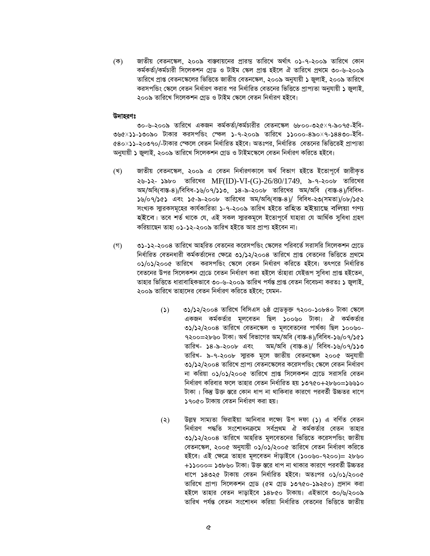জাতীয় বেতনস্কেল, ২০০৯ বাস্তবায়নের প্রারন্ত তারিখে অর্থাৎ ০১-৭-২০০৯ তারিখে কোন  $(\overline{\Phi})$ কৰ্মকৰ্তা/কৰ্মচারী সিলেকশন গ্ৰেড ও টাইম স্কেল প্ৰাপ্ত হইলে ঐ তারিখে প্ৰথমে ৩০-৬-২০০৯ তারিখে প্রাপ্ত বেতনস্কেলের ভিত্তিতে জাতীয় বেতনস্কেল, ২০০৯ অনুযায়ী ১ জুলাই, ২০০৯ তারিখে করসপন্ডিং স্কেলে বেতন নির্ধারণ করার পর নির্ধারিত বেতনের ভিত্তিতে প্রাপ্যতা অনযায়ী ১ জলাই. ২০০৯ তারিখে সিলেকশন গ্রেড ও টাইম স্কেলে বেতন নির্ধারণ হইবে।

### উদাহরণঃ

৩০-৬-২০০৯ তারিখে একজন কর্মকর্তা/কর্মচারীর বেতনস্কেল ৬৮০০-৩২৫×৭-৯০৭৫-ইবি-৩৬৫×১১-১৩০৯০ টাকার করসপন্ডিং স্কেল ১-৭-২০০৯ তারিখে ১১০০০-৪৯০×৭-১৪৪৩০-ইবি-৫৪০×১১-২০৩৭০/-টাকার স্কেলে বেতন নির্ধারিত হইবে। অতঃপর, নির্ধারিত বেতনের ভিত্তিতেই প্রাপ্যতা অনুযায়ী ১ জ্বলাই, ২০০৯ তারিখে সিলেকশন গ্রেড ও টাইমস্কেলে বেতন নির্ধারণ করিতে হইবে।

- (খ) জাতীয় বেতনস্কেল, ২০০৯ এ বেতন নিৰ্ধারণকালে অৰ্থ বিভাগ হইতে ইতোপৰ্বে জারীকত ২৬-১২- ১৯৮০ তারিখের MF(ID)-VI-(G)-26/80/1749, ৯-৭-২০০৮ তারিখের অম/অবি(বাস্ত-৪)/বিবিধ-১৬/০৭/১১৩, ১৪-৯-২০০৮ তারিখের অম/অবি (বাস্ত-৪)/বিবিধ-১৬/০৭/১৫১ এবং ১৫-৯-২০০৮ তারিখের অম/অবি(বাস্ত-৪)/ বিবিধ-২৩(সমতা)/০৮/১৫২ সংখ্যক স্মারকসমূহের কার্যকারিতা ১-৭-২০০৯ তারিখ হইতে রহিত হইয়াছে বলিয়া গণ্য হইবে। তবে শর্ত থাকে যে, এই সকল সাুরকমূলে ইতোপূর্বে যাহারা যে আর্থিক সুবিধা গ্রহণ করিয়াছেন তাহা ০১-১২-২০০৯ তারিখ হইতে আর প্রাপ্য হইবেন না।
- ৩১-১২-২০০৪ তারিখে আহরিত বেতনের করেসপন্ডিং স্কেলের পরিবর্তে সরাসরি সিলেকশন গেডে  $($ গ) নির্ধারিত বেতনধারী কর্মকর্তাদের ক্ষেত্রে ৩১/১২/২০০৪ তারিখে প্রাপ্ত বেতনের ভিত্তিতে প্রথমে ০১/০১/২০০৫ তারিখে করসপভিং স্কেলে বেতন নির্ধারণ করিতে হইবে। তৎপরে নির্ধারিত বেতনের উপর সিলেকশন গ্রেডে বেতন নির্ধারণ করা হইলে তাঁহারা যেইরূপ সুবিধা প্রাপ্ত হইতেন, তাহার ভিত্তিতে ধারাবাহিকভাবে ৩০-৬-২০০৯ তারিখ পর্যন্ত প্রাপ্ত বেতন বিবেচনা করতঃ ১ জুলাই, ২০০৯ তারিখে তাহাদের বেতন নির্ধারণ করিতে হইবে: যেমন-
	- ৩১/১২/২০০৪ তারিখে বিসিএস ৬ষ্ঠ গ্রেডভূক্ত ৭২০০-১০৮৪০ টাকা স্কেলে  $\mathcal{L}(\mathcal{L})$ একজন কর্মকর্তার মলবেতন ছিল ১০০৬০ টাকা। ঐ কর্মকর্তার ৩১/১২/২০০৪ তারিখে বেতনস্কেল ও মলবেতনের পার্থক্য ছিল ১০০৬০-৭২০০=২৮৬০ টাকা। অর্থ বিভাগের অম/অবি (বাস্ত-৪)/বিবিধ-১৬/০৭/১৫১ তারিখ- ৯-৭-২০০৮ স্মারক মূলে জাতীয় বেতনস্কেল ২০০৫ অনুযায়ী ৩১/১২/২০০৪ তারিখে প্রাপ্য বেতনস্কেলের করেসপন্ডিং স্কেলে বেতন নির্ধারণ না করিয়া ০১/০১/২০০৫ তারিখে প্রাপ্ত সিলেকশন গ্রেডে সরাসরি বেতন নির্ধারণ করিবার ফলে তাহার বেতন নির্ধারিত হয় ১৩৭৫০+২৮৬০=১৬৬১০ টাকা । কিন্তু উক্ত স্কবে কোন ধাপ না থাকিবাব কাবণে পববর্তী উচ্চতব ধাপে ১৭০৫০ টাকায় বেতন নিৰ্ধারণ করা হয়।
	- উল্লম্ব সাম্যতা ফিরাইয়া আনিবার লক্ষ্যে উপ দফা (১) এ বর্ণিত বেতন  $(5)$ নিৰ্ধারণ পদ্ধতি সংশোধনক্ৰমে সৰ্বপ্ৰথম ঐ কৰ্মকৰ্তার বেতন তাহার ৩১/১২/২০০৪ তারিখে আহরিত মূলবেতনের ভিত্তিতে করেসপন্ডিং জাতীয় বেতনস্কেল, ২০০৫ অনুযায়ী ০১/০১/২০০৫ তারিখে বেতন নির্ধারণ করিতে হইবে। এই ক্ষেত্রে তাহার মূলবেতন দাঁড়াইবে (১০০৬০-৭২০০)= ২৮৬০ +১১০০০= ১৩৮৬০ টাকা। উক্ত স্তরে ধাপ না থাকার কারণে পরবর্তী উচ্চতর ধাপে ১৪৩২৫ টাকায় বেতন নির্ধারিত হইবে। অতঃপর ০১/০১/২০০৫ তারিখে প্রাপ্য সিলেকশন গ্রেড (৫ম গ্রেড ১৩৭৫০-১৯২৫০) প্রদান করা হইলে তাহার বেতন দাডাইবে ১৪৮৫০ টাকায়। এইভাবে ৩০/৬/২০০৯ তারিখ পর্যন্ত বেতন সংশোধন করিয়া নির্ধারিত বেতনের ভিত্তিতে জাতীয়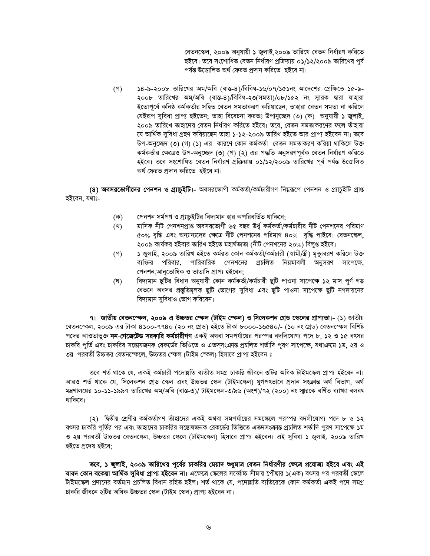বেতনস্কেল, ২০০৯ অনুযায়ী ১ জুলাই,২০০৯ তারিখে বেতন নির্ধারণ করিতে হইবে। তবে সংশোধিত বেতন নির্ধারণ প্রক্রিয়ায় ০১/১২/২০০৯ তারিখের পূর্ব পৰ্যন্ত উত্তোলিত অৰ্থ ফেরত প্রদান করিতে হইবে না।

 $($ গ) ১৪-৯-২০০৮ তারিখের অম/অবি (বাস্ত-৪)/বিবিধ-১৬/০৭/১৫১নং আদেশের প্রেক্ষিতে ১৫-৯-২০০৮ তারিখের অম/অবি (বাস্ত-৪)/বিবিধ-২৩(সমতা)/০৮/১৫২ নং স্মারক দ্বারা যাহারা ইতোপূৰ্বে কনিষ্ঠ কৰ্মকৰ্তার সহিত বেতন সমতাকরণ করিয়াছেন, তাহারা বেতন সমতা না করিলে যেইরূপ সুবিধা প্রাপ্য হইতেন; তাহা বিবেচনা করতঃ উপানুচ্ছেদ (৩) (ক) অনুযায়ী ১ জুলাই, ২০০৯ তারিখে তাহাদের বেতন নির্ধারণ করিতে হইবে। তবে, বেতন সমতাকরণের ফলে তাঁহারা যে আৰ্থিক সুবিধা গ্ৰহণ করিয়াছেন তাহা ১-১২-২০০৯ তারিখ হইতে আর প্রাপ্য হইবেন না। তবে উপ-অনুচ্ছেদ (৩) (গ) (১) এর কারণে কোন কর্মকর্তা বেতন সমতাকরণ করিয়া থাকিলে উক্ত কর্মকর্তার ক্ষেত্রেও উপ-অনুচ্ছেদ (৩) (গ) (২) এর পদ্ধতি অনুসরণপূর্বক বেতন নির্ধারণ করিতে হইবে। তবে সংশোধিত বেতন নির্ধারণ প্রক্রিয়ায় ০১/১২/২০০৯ তারিখের পূর্ব পর্যন্ত উত্তোলিত অৰ্থ ফেরত প্রদান করিতে হইবে না।

(8) অবসরভোগীদের পেনশন ও গ্র্যাচুইটি।- অবসরভোগী কর্মকর্তা/কর্মচারীগণ নিয়রূপে পেনশন ও গ্র্যাচুইটি প্রাপ্ত হইবেন, যথাঃ-

- পেনশন সর্মপণ ও গ্র্যাচুইটির বিদ্যমান হার অপরিবর্তিত থাকিবে; (ক)
- মাসিক নীট পেনশনপ্রাপ্ত অবসরভোগী ৬৫ বছর উর্ধু কর্মকর্তা/কর্মচারীর নীট পেনশনের পরিমাণ (খ) ৫০% বৃদ্ধি এবং অন্যান্যদের ক্ষেত্রে নীট পেনশনের পরিমাণ ৪০% বৃদ্ধি পাইবে। বেতনস্কেল, ২০০৯ কাৰ্যকর হইবার তারিখ হইতে মহাৰ্ঘভাতা (নীট পেনশনের ২০%) বিলুপ্ত হইবে।
- ১ জুলাই, ২০০৯ তারিখ হইতে কর্মরত কোন কর্মকর্তা/কর্মচারী (স্বামী/স্ত্রী) মৃত্যুবরণ করিলে উক্ত  $($ গ) ব্যক্তির পরিবার, পারিবারিক পেনশনের প্রচলিত নিয়মাবলী অনুসরণ সাপেক্ষে, পেনশন আনতোষিক ও ভাতাদি প্ৰাপ্য হইবেন:
- বিদ্যমান ছুটির বিধান অনুযায়ী কোন কর্মকর্তা/কর্মচারী ছুটি পাওনা সাপেক্ষে ১২ মাস পূর্ণ গড় (ঘ) বেতনে অবসর প্রস্তুতিমূলক ছুটি ভোগের সুবিধা এবং ছুটি পাওনা সাপেক্ষে ছুটি নগদায়নের বিদ্যমান সুবিধাও ভোগ করিবেন।

৭। জাতীয় বেতনস্ফেল, ২০০৯ এ উচ্চতর স্ফেল (টাইম স্ফেল) ও সিলেকশন গ্রেড স্কেলের প্রাপ্যতা।- (১) জাতীয় বেতনস্কেল, ২০০৯ এর টাকা ৪১০০-৭৭৪০ (২০ নং গ্রেড) হইতে টাকা ৮০০০-১৬৫৪০/- (১০ নং গ্রেড) বেতনস্কেল বিশিষ্ট পদের আওতাভুক্ত **নন-গেজেটেড সরকারি কর্মচারীগণ** একই অথবা সমপর্যায়ের পরস্পর বদলিযোগ্য পদে ৮, ১২ ও ১৫ বৎসর চাকরি পূর্তি এবং চাকরির সন্তোষজনক রেকর্ডের ভিওিতে ও এতদসংক্রান্ত প্রচলিত শর্তাদি পুরণ সাপেক্ষে, যথাক্রমে ১ম, ২য় ও ৩য় পরবর্তী উচ্চতর বেতনস্ফেলে, উচ্চতর স্ফেল (টাইম স্ফেল) হিসাবে প্রাপ্য হইবেন ঃ

তবে শর্ত থাকে যে, একই কর্মচারী পদোন্নতি ব্যতীত সমগ্র চাকরি জীবনে ৩টির অধিক টাইমস্কেল প্রাপ্য হইবেন না। আরও শর্ত থাকে যে, সিলেকশন গ্রেড স্কেল এবং উচ্চতর স্কেল (টাইমস্কেল) যুগপৎভাবে প্রদান সংক্রান্ত অর্থ বিভাগ, অর্থ মন্ত্রণালয়ের ১০-১১-১৯৯৭ তারিখের অম/অবি (বাস্ত-৩)/ টাইমস্কেল-৩/৯৬ (অংশ)/৭২ (২০০) নং স্যারকে বর্ণিত ব্যাখ্যা বলবৎ থাকিবে।

(২) দ্বিতীয় শ্রেণীর কর্মকর্তাগণ তাঁহাদের একই অথবা সমপর্যায়ের সমস্কেলে পরস্পর বদলীযোগ্য পদে ৮ ও ১২ বৎসর চাকরি পূর্তির পর এবং তাহাদের চাকরির সন্তোষজনক রেকর্ডের ভিত্তিতে এতদসংক্রান্ত প্রচলিত শর্তাদি পুরণ সাপেক্ষে ১ম ও ২য় পরবর্তী উচ্চতর বেতনস্কেল, উচ্চতর স্কেলে (টাইমস্কেল) হিসাবে প্রাপ্য হইবেন। এই সুবিধা ১ জুলাই, ২০০৯ তারিখ হইতে প্ৰদেয় হইবে:

তবে, ১ জুলাই, ২০০৯ তারিখের পূর্বের চাকরির মেয়াদ শুধুমাত্র বেতন নির্ধারণীর ক্ষেত্রে প্রযোজ্য হইবে এবং এই **বাবদ কোন বকেয়া আর্থিক সুবিধা প্রাপ্য হইবেন না।** এক্ষেত্রে স্কেলের সর্ব্বোচ্চ সীমায় পৌছার ১(এক) বৎসর পর পরবর্তী স্কেলে টাইমস্কেল প্রদানের বর্তমান প্রচলিত বিধান রহিত হইল। শর্ত থাকে যে, পদোন্নতি ব্যতিরেকে কোন কর্মকর্তা একই পদে সমগ্র চাকরি জীবনে ২টির অধিক উচ্চতর স্কেল (টাইম স্কেল) প্রাপ্য হইবেন না।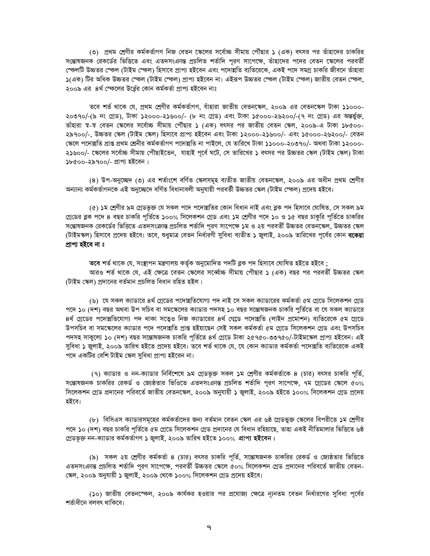(৩) প্রথম শ্রেণীর কর্মকর্তাগণ নিজ বেতন স্কেলের সর্বোচ্চ সীমায় পৌঁছার ১ (এক) বৎসর পর তাঁহাদের চাকরির সন্তোষজনক রেকর্ডের ভিত্তিতে এবং এতদসংক্রান্ত প্রচলিত শর্তাদি পূরণ সাপেক্ষে, তাঁহাদের পদের বেতন স্কেলের পরবর্তী স্কেলটি উচ্চতর স্কেল (টাইম স্কেল) হিসাবে প্রাপ্য হইবেন এবং পদোন্নতি ব্যতিরেকে, একই পদে সমগ্র চাকরি জীবনে তাঁহারা ১(এক) টির অধিক উচ্চতর স্কেল (টাইম স্কেল) প্রাপ্য হইবেন না। এইরূপ উচ্চতর স্কেল (টাইম স্কেল) জাতীয় বেতন স্কেল, ২০০৯ এর ৪র্থ স্কেলের উর্ধ্রের কোন কর্মকর্তা প্রাপ্য হইবেন নাঃ

তবে শর্ত থাকে যে, প্রথম শ্রেণীর কর্মকর্তাগণ, যাঁহারা জাতীয় বেতনস্কেল, ২০০৯ এর বেতনস্কেল টাকা ১১০০০-২০৩৭০/-(৯ নং গ্রেড), টাকা ১২০০০-২১৬০০/- (৮ নং গ্রেড) এবং টাকা ১৫০০০-২৬২০০/-(৭ নং গ্রেড) এর অন্তর্ভুক্ত, তাঁহারা স্ব-স্ব বেতন স্কেলের সর্বোচ্চ সীমায় পৌঁছার ১ (এক) বৎসর পর জাতীয় বেতন স্কেল, ২০০৯-এ টাকা ১৮৫০০-২৯৭০০/-, উচ্চতর স্কেল (টাইম স্কেল) হিসাবে প্রাপ্য হইবেন এবং টাকা ১২০০০-২১৬০০/- এবং ১৫০০০-২৬২০০/- বেতন স্কেলে পদোন্নতি প্রাপ্ত প্রথম শ্রেনীর কর্মকর্তাগণ পদোন্নতি না পাইলে, যে তারিখে টাকা ১১০০০-২০৩৭০/- অথবা টাকা ১২০০০-২১৬০০/- স্কেলের সর্বোচ্চ সীমায় পৌছাইতেন, যাহাই পূর্বে ঘটে, সে তারিখের ১ বৎসর পর উচ্চতর স্কেল (টাইম স্কেল) টাকা ১৮৫০০-২৯৭০০/- প্ৰাপ্য হইবেন।

(৪) উপ-অনুচ্ছেদ (৩) এর শর্তাংশে বর্ণিত স্কেলসমূহ ব্যতীত জাতীয় বেতনস্কেল, ২০০৯ এর অধীন প্রথম শ্রেণীর অন্যান্য কর্মকর্তাগনকে এই অনুচ্ছেদে বর্ণিত বিধানাবলী অনুযায়ী পরবর্তী উচ্চতর স্কেল (টাইম স্ফেল) প্রদেয় হইবে।

(৫) ১ম শ্রেণীর ৯ম গ্রেডভূক্ত যে সকল পদে পদোন্নতির কোন বিধান নাই এবং ব্লক পদ হিসাবে ঘোষিত, সে সকল ৯ম গ্রেডের ব্লক পদে ৪ বছর চাকরি পূর্তিতে ১০০% সিলেকশন গ্রেড এবং ১ম শ্রেণীর পদে ১০ ও ১৫ বছর চাকুরি পূর্তিতে চাকরির সন্তোষজনক রেকর্ডের ভিত্তিতে এতদসংক্রান্ত প্রচলিত শর্তাদি পুরণ সাপেক্ষে ১ম ও ২য় পরবর্তী উচ্চতর বেতনস্কেল, উচ্চতর স্কেল (টাইমস্কল) হিসাবে প্রদেয় হইবে। তবে, শুধুমাত্র বেতন নির্ধারণী সুবিধা ব্যতীত ১ জুলাই, ২০০৯ তারিখের পূর্বের কোন **বকেয়া** প্ৰাপ্য হইবে না ঃ

তবে শর্ত থাকে যে, সংস্থাপন মন্ত্রণালয় কর্তৃক অনুমোদিত পদটি ব্লক পদ হিসাবে ঘোষিত হইতে হইবে ; আরও শর্ত থাকে যে, এই ক্ষেত্রে বেতন স্কেলের সর্ব্বোচ্চ সীমায় পৌঁছার ১ (এক) বছর পর পরবর্তী উচ্চতর স্কেল (টাইম স্কেল) প্রদানের বর্তমান প্রচলিত বিধান রহিত হইল।

(৬) যে সকল ক্যাডারে ৪র্থ গ্রেডের পদোন্নতিযোগ্য পদ নাই সে সকল ক্যাডারের কর্মকর্তা ৫ম গ্রেডে সিলেকশন গ্রেড পদে ১০ (দশ) বছর অথবা উপ সচিব বা সমস্কেলের ক্যাডার পদসহ ১০ বছর সন্তোষজনক চাকরি পুর্তিতে বা যে সকল ক্যাডারে ৪র্থ গ্রেডের পদোন্নতিযোগ্য পদ থাকা সত্বেও নিজ ক্যাডারের ৪র্থ গ্মেডে পদোন্নতি (লাইন প্রমোশন) ব্যতিরেকে ৫ম গ্রেডে উপসচিব বা সমস্কেলের ক্যাডার পদে পদোন্নতি প্রাপ্ত হইয়াছেন সেই সকল কর্মকর্তা ৫ম গ্রেডে সিলেকশন গ্রেড এবং উপসচিব পদসহ সাক্রল্যে ১০ (দশ) বছর সন্তোষজনক চাকরি পর্তিতে ৪র্থ গ্রেডে টাকা ২৫৭৫০-৩৩৭৫০/-টাইমস্কেল প্রাপ্য হইবেন। এই সুবিধা ১ জ্বলাই, ২০০৯ তারিখ হইতে প্রদেয় হইবে। তবে শর্ত থাকে যে, যে কোন ক্যাডার কর্মকর্তা পদোন্নতি ব্যতিরেকে একই পদে একটির বেশি টাইম স্কেল সুবিধা প্রাপ্য হইবেন না।

(৭) ক্যাডার ও নন-ক্যাডার নির্বিশেষে ৯ম গ্রেডভূক্ত সকল ১ম শ্রেণীর কর্মকর্তাকে ৪ (চার) বৎসর চাকরি পূর্তি, সন্তোষজনক চাকরির রেকর্ড ও জ্যেষ্ঠতার ভিওিতে এতদসংক্রান্ত প্রচলিত শর্তাদি পূরণ সাপেক্ষে, ৭ম গ্রেডের স্কেলে ৫০% সিলেকশন গ্রেড প্রদানের পরিবর্তে জাতীয় বেতনস্কেল, ২০০৯ অনুযায়ী ১ জুলাই, ২০০৯ হইতে ১০০% সিলেকশন গ্রেড প্রদেয় হইবে।

(৮) বিসিএস ক্যাডারসমূহের কর্মকর্তাদের জন্য বর্তমান বেতন স্কেল এর ৬ষ্ঠ গ্রেডভুক্ত স্কেলের বিপরীতে **১**ম শ্রেণীর পদে ১০ (দশ) বছর চাকরি পর্তিতে ৫ম গ্রেডে সিলেকশন গ্রেড প্রদানের যে বিধান রহিয়াছে, তাহা একই নীতিমালার ভিত্তিতে ৬ষ্ঠ গ্রেডভূক্ত নন-ক্যাডার কর্মকর্তাগণ ১ জুলাই, ২০০৯ তারিখ হইতে ১০০% প্রাপ্য হইবেন।

(৯) সকল ২য় শ্রেণীর কর্মকর্তা ৪ (চার) বৎসর চাকরি পূর্তি, সম্ভোষজনক চাকরির রেকর্ড ও জ্যেষ্ঠতার ভিত্তিতে এতদসংক্রান্ত প্রচলিত শর্তাদি পূরণ সাপেক্ষে, পরবর্তী উচ্চতর স্কেলে ৫০% সিলেকশন গ্রেড প্রদানের পরিবর্তে জাতীয় বেতন-স্কেল, ২০০৯ অনুযায়ী ১ জুলাই, ২০০৯ থেকে ১০০% সিলেকশন গ্ৰেড প্ৰদেয় হইবে।

(১০) জাতীয় বেতনস্কেল, ২০০৯ কার্যকর হওয়ার পর প্রযোজ্য ক্ষেত্রে ন্যূনতম বেতন নির্ধারণের সুবিধা পূর্বের শৰ্তাধীনে বলবৎ থাকিবে।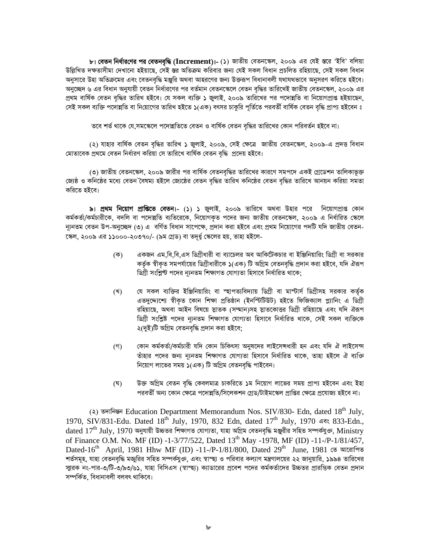৮। **বেতন নির্ধারণের পর বেতনবৃদ্ধি (Increment)।- (১)** জাতীয় বেতনস্কেল, ২০০৯ এর যেই স্তরে 'ইবি' বলিয়া উল্লিখিত দক্ষতাসীমা দেখানো হইয়াছে, সেই স্তর অতিক্রম করিবার জন্য যেই সকল বিধান প্রচলিত রহিয়াছে, সেই সকল বিধান অনুসারে উহা অতিক্রমের এবং বেতনবৃদ্ধি মঞ্জুরি অথবা আহরণের জন্য উক্তরূপ বিধানাবলী যথাযথভাবে অনুসরণ করিতে হইবে। অনুচ্ছেদ ৬ এর বিধান অনুযায়ী বেতন নির্ধারণের পর বর্তমান বেতনস্কেলে বেতন বৃদ্ধির তারিখেই জাতীয় বেতনস্কেল, ২০০৯ এর প্ৰথম বাৰ্ষিক বেতন বদ্ধির তারিখ হইবে। যে সকল ব্যক্তি ১ জলাই, ২০০৯ তারিখের পর পদোন্নতি বা নিয়োগপ্রাপ্ত হইয়াছেন, সেই সকল ব্যক্তি পদোন্নতি বা নিয়োগের তারিখ হইতে ১(এক) বৎসর চাকুরি পর্তিতে পরবর্তী বার্ষিক বেতন বৃদ্ধি প্রাপ্য হইবেন ঃ

তবে শর্ত থাকে যে,সমস্কেলে পদোন্নতিতে বেতন ও বার্ষিক বেতন বৃদ্ধির তারিখের কোন পরিবর্তন হইবে না।

(২) যাহার বার্ষিক বেতন বৃদ্ধির তারিখ ১ জ্রলাই, ২০০৯, সেই ক্ষেত্রে জাতীয় বেতনস্কেল, ২০০৯-এ প্রদত্ত বিধান মোতাবেক প্রথমে বেতন নির্ধারণ করিয়া সে তারিখে বার্ষিক বেতন বদ্ধি প্রদেয় হইবে।

(৩) জাতীয় বেতনস্কেল, ২০০৯ জারীর পর বার্ষিক বেতনবৃদ্ধির তারিখের কারণে সমপদে একই গ্রেডেশন তালিকাভূক্ত জ্যেষ্ঠ ও কনিষ্ঠের মধ্যে বেতন বৈষম্য হইলে জ্যেষ্ঠের বেতন বৃদ্ধির তারিখ কনিষ্ঠের বেতন বৃদ্ধির তারিখে আনয়ন করিয়া সমতা করিতে হইবে।

৯। প্রথম নিয়োগ প্রাণ্ডিতে বেতন।- (১) ১ জুলাই, ২০০৯ তারিখে অথবা উহার পরে নিয়োগপ্রাপ্ত কোন কর্মকর্তা/কর্মচারীকে, বদলি বা পদোন্নতি ব্যতিরেকে, নিয়োগকৃত পদের জন্য জাতীয় বেতনস্কেল, ২০০৯ এ নির্ধারিত স্কেলে ন্যূনতম বেতন উপ-অনুচ্ছেদ (৩) এ বর্ণিত বিধান সাপেক্ষে, প্রদান করা হইবে এবং প্রথম নিয়োগের পদটি যদি জাতীয় বেতন-স্কেল, ২০০৯ এর ১১০০০-২০৩৭০/- (৯ম গ্রেড) বা তদর্ধু স্কেলের হয়, তাহা হইলে-

- একজন এম.বি.বি.এস ডিগ্রীধারী বা ব্যাচেলর অব আকিটেকচার বা ইঞ্জিনিয়ারিং ডিগ্রী বা সরকার  $(\overline{\Phi})$ কৰ্তক স্বীকত সমপৰ্যায়ের ডিগ্ৰীধারীকে ১(এক) টি অগ্রিম বেতনবদ্ধি প্রদান করা হইবে, যদি ঐরূপ ডিগ্রী সংশ্লিষ্ট পদের ন্যুনতম শিক্ষাগত যোগ্যতা হিসাবে নির্ধারিত থাকে:
- যে সকল ব্যক্তির ইঞ্জিনিয়ারিং বা স্হাপত্যবিদ্যায় ডিগ্রী বা মাস্টার্স ডিগ্রীসহ সরকার কর্তৃক (খ) এতদুদ্দ্যশ্যে স্বীকৃত কোন শিক্ষা প্রতিষ্ঠান (ইনস্টিটিউট) হইতে ফিজিক্যাল প্ল্যানিং এ ডিগ্রী রহিয়াছে, অথবা আইন বিষয়ে স্নাতক (সম্মান)সহ স্নাতকোত্তর ডিগ্রী রহিয়াছে এবং যদি ঐরূপ ডিগ্রী সংশ্লিষ্ট পদের ন্যূনতম শিক্ষাগত যোগ্যতা হিসাবে নির্ধারিত থাকে, সেই সকল ব্যক্তিকে ২(দুই)টি অগ্রিম বেতনবৃদ্ধি প্রদান করা হইবে;
- কোন কৰ্মকৰ্তা/কৰ্মচারী যদি কোন চিকিৎসা অনুষদের লাইসেন্সধারী হন এবং যদি ঐ লাইসেন্স  $($ গ্ তাঁহার পদের জন্য ন্যুনতম শিক্ষাগত যোগ্যতা হিসাবে নির্ধারিত থাকে, তাহা হইলে ঐ ব্যক্তি নিয়োগ লাভের সময় ১(এক) টি অগ্রিম বেতনবৃদ্ধি পাইবেন।
- উক্ত অগ্রিম বেতন বদ্ধি কেবলমাত্র চাকরিতে ১ম নিয়োগ লাভের সময় প্রাপ্য হইবেন এবং ইহা  $(\nabla)$ পরবর্তী অন্য কোন ক্ষেত্রে পদোন্নতি/সিলেকশন গ্রেড/টাইমস্কেল প্রাপ্তির ক্ষেত্রে প্রযোজ্য হইবে না।

(२) ज्यानिखन Education Department Memorandum Nos. SIV/830- Edn, dated 18<sup>th</sup> July, 1970, SIV/831-Edu. Dated 18<sup>th</sup> July, 1970, 832 Edn, dated 17<sup>th</sup> July, 1970 এবং 833-Edn.,  $\rm{data~17^{th}~July,~1970}$  অনুযায়ী উচ্চতর শিক্ষাগত যোগ্যতা, যাহা অগ্রিম বেতনবৃদ্ধি মঞ্জুরীর সহিত সম্পর্কযুক্ত,  $\rm{Ministry}$ of Finance O.M. No. MF (ID) -1-3/77/522, Dated 13<sup>th</sup> May -1978, MF (ID) -11-/P-1/81/457, Dated-16<sup>th</sup> April, 1981 Hhw MF (ID) -11-/P-1/81/800, Dated 29<sup>th</sup> June, 1981 তে আরোপিত শর্তসমূহ, যাহা বেতনবৃদ্ধি মজুরির সহিত সম্পর্কযুক্ত, এবং স্বাস্হ্য ও পরিবার কল্যাণ মন্ত্রণালয়ের ২২ জানুয়ারি, ১৯৯৪ তারিখের স্মারক নং-পার-৩/টি-৩/৯৩/৬১. যাহা বিসিএস (স্বাস্হ্য) ক্যাডারের প্রবেশ পদের কর্মকর্তাদের উচ্চতর প্রারন্তিক বেতন প্রদান সম্পৰ্কিত বিধানাবলী বলবৎ থাকিবে।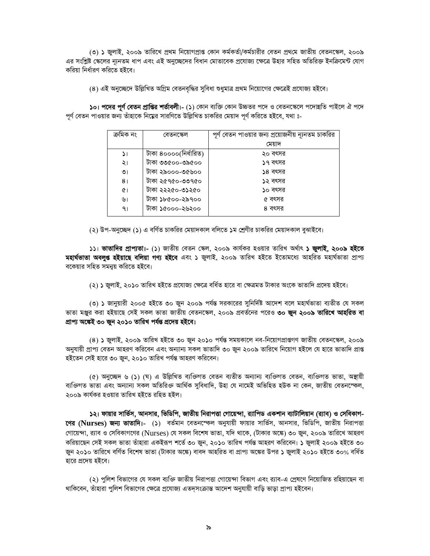(৩) ১ জুলাই, ২০০৯ তারিখে প্রথম নিয়োগপ্রাপ্ত কোন কর্মকর্তা/কর্মচারীর বেতন প্রথমে জাতীয় বেতনস্কেল, ২০০৯ এর সংশ্লিষ্ট স্কেলের ন্যূনতম ধাপ এবং এই অনুচ্ছেদের বিধান মোতাবেক প্রযোজ্য ক্ষেত্রে উহার সহিত অতিরিক্ত ইনক্রিমেন্ট যোগ করিয়া নির্ধারণ করিতে হইবে।

(৪) এই অনুচ্ছেদে উল্লিখিত অগ্রিম বেতনবৃদ্ধির সুবিধা শুধুমাত্র প্রথম নিয়োগের ক্ষেত্রেই প্রযোজ্য হইবে।

১০। পদের পূর্ণ বেতন প্রাপ্তির শর্তাবলী।- (১) কোন ব্যক্তি কোন উচ্চতর পদে ও বেতনস্কেলে পদোন্নতি পাইলে ঐ পদে পূর্ণ বেতন পাওয়ার জন্য তাঁহাকে নিম্নের সারণিতে উল্লিখিত চাকরির মেয়াদ পূর্ণ করিতে হইবে, যথা ঃ-

| বেতনস্কেল             | পূর্ণ বেতন পাওয়ার জন্য প্রয়োজনীয় ন্যূনতম চাকরির |
|-----------------------|----------------------------------------------------|
|                       | মেয়াদ                                             |
| টাকা ৪০০০০(নিৰ্ধারিত) | ২০ বৎসর                                            |
| টাকা ৩৩৫০০-৩৯৫০০      | ১৭ বৎসর                                            |
| টাকা ২৯০০০-৩৫৬০০      | ১৪ বৎসর                                            |
| টাকা ২৫৭৫০-৩৩৭৫০      | ১২ বৎসর                                            |
| টাকা ২২২৫০-৩১২৫০      | ১০ বৎসর                                            |
| টীকা ১৮৫০০-২৯৭০০      | ৫ বৎসর                                             |
| টাকা ১৫০০০-২৬২০০      | ৪ বৎসর                                             |
|                       |                                                    |

(২) উপ-অনুচ্ছেদ (১) এ বর্ণিত চাকরির মেয়াদকাল বলিতে ১ম শ্রেণীর চাকরির মেয়াদকাল বুঝাইবে।

১১। **ভাতাদির প্রাপ্যতা।- (১)** জাতীয় বেতন স্কেল, ২০০৯ কার্যকর হওয়ার তারিখ অর্থাৎ **১ জুলাই, ২০০৯ হইতে** মহাৰ্ষভাতা অবলুপ্ত হইয়াছে বলিয়া গণ্য হইবে এবং ১ জুলাই, ২০০৯ তারিখ হইতে ইতোমধ্যে আহরিত মহাৰ্যভাতা প্রাপ্য বকেয়ার সহিত সমন্বয় করিতে হইবে।

(২) ১ জুলাই, ২০১০ তারিখ হইতে প্রযোজ্য ক্ষেত্রে বর্ধিত হারে বা ক্ষেত্রমত টাকার অংকে ভাতাদি প্রদেয় হইবে।

(৩) ১ জানুয়ারী ২০০৫ হইতে ৩০ জুন ২০০৯ পর্যন্ত সরকারের সুনির্দিষ্ট আদেশ বলে মহার্ঘভাতা ব্যতীত যে সকল ভাতা মঞ্জুর করা হইয়াছে সেই সকল ভাতা জাতীয় বেতনস্কেল, ২০০৯ প্রবর্তনের পরেও **৩০ জুন ২০০৯ তারিখে আহরিত বা** প্ৰাপ্য অঙ্কেই ৩০ জুন ২০১০ তারিখ পর্যন্ত প্রদেয় হইবে।

(৪) ১ জুলাই, ২০০৯ তারিখ হইতে ৩০ জুন ২০১০ পর্যন্ত সময়কালে নব-নিয়োগপ্রাপ্তগণ জাতীয় বেতনস্কেল, ২০০৯ অনুযায়ী প্রাপ্য বেতন আহরণ করিবেন এবং অন্যান্য সকল ভাতাদি ৩০ জুন ২০০৯ তারিখে নিয়োগ হইলে যে হারে ভাতাদি প্রাপ্ত হইতেন সেই হারে ৩০ জুন, ২০১০ তারিখ পর্যন্ত আহরণ করিবেন।

(৫) অনুচ্ছেদ ৬ (১) (ঘ) এ উল্লিখিত ব্যক্তিগত বেতন ব্যতীত অন্যান্য ব্যক্তিগত বেতন, ব্যক্তিগত ভাতা, অস্থায়ী ব্যক্তিগত ভাতা এবং অন্যান্য সকল অতিরিক্ত আর্থিক সুবিধাদি, উহা যে নামেই অভিহিত হউক না কেন, জাতীয় বেতনস্ফেল, ২০০৯ কাৰ্যকর হওয়ার তারিখ হইতে রহিত হইল।

১২। ফায়ার সার্ভিস, আনসার, ভিডিপি, জাতীয় নিরাপত্তা গোয়েন্দা, র্যাপিড একশান ব্যাটালিয়ান (র্যাব) ও সেবিকাগ-**ণের (Nurses) জন্য ভাতাদি।-** (১) বর্তমান বেতনস্কেল অনুযায়ী ফায়ার সার্ভিস, আনসার, ভিডিপি, জাতীয় নিরাপত্তা গোয়েন্দা, র্যাব ও সেবিকাগণের (Nurses) যে সকল বিশেষ ভাতা, যদি থাকে, (টাকার অঙ্কে) ৩০ জুন, ২০০৯ তারিখে আহরণ করিয়াছেন সেই সকল ভাতা তাঁহারা একইরূপ শর্তে ৩০ জুন, ২০১০ তারিখ পর্যন্ত আহরণ করিবেন। ১ জুলাই ২০০৯ হইতে ৩০ জুন ২০১০ তারিখে বর্ণিত বিশেষ ভাতা (টাকার অঙ্কে) বাবদ আহরিত বা প্রাপ্য অঙ্কের উপর ১ জুলাই ২০১০ হইতে ৩০% বর্ধিত হারে প্রদেয় হইবে।

(২) পুলিশ বিভাগের যে সকল ব্যক্তি জাতীয় নিরাপত্তা গোয়েন্দা বিভাগ এবং র্যাব-এ প্রেষণে নিয়োজিত রহিয়াছেন বা থাকিবেন, তাঁহারা পলিশ বিভাগের ক্ষেত্রে প্রযোজ্য এতদসংক্রান্ত আদেশ অনযায়ী বাডি ভাডা প্রাপ্য হইবেন।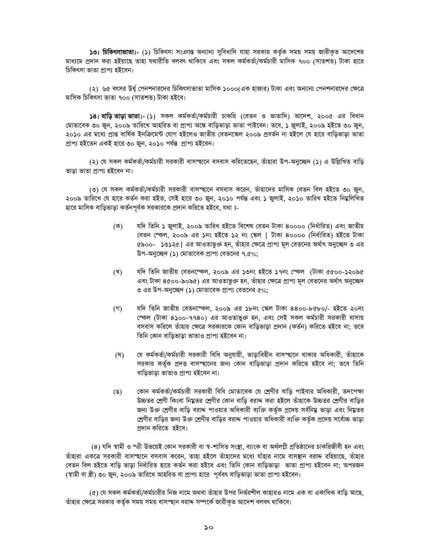১৩। চিকিৎসাভাতা - (১) চিকিৎসা সংক্রান্ত অন্যান্য সুবিধাদি যাহা সরকার কর্তৃক সময় সময় জারীকৃত আদেশের মাধ্যমে প্রদান করা হইয়াছে তাহা যথারীতি বলবৎ থাকিবে এবং সকল কর্মকর্তা/কর্মচারী মাসিক ৭০০ (সাতশত) টাকা হারে চিকিৎসা ভাতা প্ৰাপ্য হইবেন।

(২) ৬৫ বৎসর উর্ধু পেনশনারদের চিকিৎসাভাতা মাসিক ১০০০(এক হাজার) টাকা এবং অন্যান্য পেনশনারদের ক্ষেত্রে মাসিক চিকিৎসা ভাতা ৭০০ (সাতশত) টাকা হইবে।

১৪। বাড়ি ভাড়া ভাতা।- (১) সকল কর্মকর্তা/কর্মচারী চাকরি (বেতন ও ভাতাদি) আদেশ, ২০০৫ এর বিধান মোতাবেক ৩০ জন, ২০০৯ তারিখে আহরিত বা প্রাপ্য অঙ্কে বাডিভাডা ভাতা পাইবেন। তবে, ১ জুলাই, ২০০৯ হইতে ৩০ জন, ২০১০ এর মধ্যে প্রাপ্ত বার্ষিক ইনক্রিমেন্ট যোগ হইলেও জাতীয় বেতনস্কেল ২০০৯ প্রবর্তন না হইলে যে হারে বাড়িভাড়া ভাতা প্ৰাপ্য হইতেন একই হাৱে ৩০ জ্বন, ২০১০ পৰ্যন্ত প্ৰাপ্য হইবেন।

(২) যে সকল কর্মকর্তা/কর্মচারী সরকারী বাসস্ছানে বসবাস করিতেছেন, তাঁহারা উপ-অনুচ্ছেদ (১) এ উল্লিখিত বাডি ভাডা ভাতা প্ৰাপ্য হইবেন না।

(৩) যে সকল কর্মকর্তা/কর্মচারী সরকারী বাসস্হানে বসবাস করেন, তাঁহাদের মাসিক বেতন বিল হইতে ৩০ জুন, ২০০৯ তারিখে যে হারে কর্তন করা হইত, সেই হারে ৩০ জুন, ২০১০ পর্যন্ত এবং ১ জুলাই, ২০১০ তারিখ হইতে নিম্নলিখিত হারে মাসিক বাড়িভাড়া কর্তনপূর্বক সরকারকে প্রদান করিতে হইবে, যথা ঃ-

- যদি তিনি ১ জলাই, ২০০৯ তারিখ হইতে বিশেষ বেতন টাকা ৪০০০০ (নির্ধারিত) এবং জাতীয় (ক) বেতন স্কেল, ২০০৯ এর ১নং হইতে ১২ নং স্কেল { টাকা ৪০০০০ (নির্ধারিত) হইতে টাকা ৫৯০০- ১৩১২৫} এর আওতাভুক্ত হন, তাঁহার ক্ষেত্রে প্রাপ্য মূল বেতনের অর্থাৎ অনুচ্ছেদ ৩ এর উপ-অনুচ্ছেদ (১) মোতাবেক প্রাপ্য বেতনের ৭.৫%;
- যদি তিনি জাতীয় বেতনস্কেল, ২০০৯ এর ১৩নং হইতে ১৭নং স্কেল (টাকা ৫৫০০-১২০৯৫ (খ) এবং টাকা ৪৫০০-৯০৯৫) এর আওতাভুক্ত হন, তাঁহার ক্ষেত্রে প্রাপ্য মূল বেতনের অর্থাৎ অনুচ্ছেদ ৩ এর উপ-অনুচ্ছেদ (১) মোতাবেক প্রাপ্য বেতনের ৫%;
- $($ গ) যদি তিনি জাতীয় বেতনস্ফেল, ২০০৯ এর ১৮নং স্কেল টাকা ৪৪০০-৮৫৮০/- হইতে ২০নং স্কেল (টাকা ৪১০০-৭৭৪০) এর আওতাভুক্ত হন, এবং সেই সকল কর্মচারী সরকারী বাসায় বসবাস করিলে তাঁহার ক্ষেত্রে সরকারকে কোন বাড়িভাড়া প্রদান (কর্তন) করিতে হইবে না; তবে তিনি কোন বাডিভাডা ভাতাও প্ৰাপ্য হইবেন না।
- যে কৰ্মকৰ্তা/কৰ্মচারী সরকারী বিধি অনুযায়ী, ভাড়াবিহীন বাসস্হানে থাকার অধিকারী, তাঁহাকে (ঘ) সরকার কর্তৃক প্রদত্ত বাসস্হানের জন্য কোন বাড়িভাড়া প্রদান করিতে হইবে না; তবে তিনি বাডিভাডা ভাতাও প্ৰাপ্য হইবেন না।
- কোন কর্মকর্তা/কর্মচারী সরকারী বিধি মোতাবেক যে শ্রেণীর বাডি পাইবার অধিকারী, তদপেক্ষা  $(8)$ উচ্চতর শ্রেণী কিংবা নিয়ুতর শ্রেণীর কোন বাড়ি বরাদ্দ করা হইলে তাঁহাকে উচ্চতর শ্রেণীর বাড়ির জন্য উক্ত শ্রেণীর বাডি বরাদ্দ পাওয়ার অধিকারী ব্যক্তি কর্তৃক প্রদেয় সর্বনিয়ু ভাডা এবং নিয়ুতর শ্রেণীর বাডির জন্য উক্ত শ্রেণীর বাডির বরাদ্দ পাওয়ার অধিকারী ব্যক্তি কর্তৃক প্রদেয় সর্বোচ্চ ভাডা প্রদান করিতে হইবে।

(৪) যদি স্বামী ও স্এী উভয়েই কোন সরকারী বা স্ব-শাসিত সংস্থা, ব্যাংক বা অর্থলগ্নী প্রতিষ্ঠানের চাকরিজীবী হন এবং তাঁহারা একত্রে সরকারী বাসস্হানে বসবাস করেন, তাহা হইলে তাঁহাদের মধ্যে যাঁহার নামে বাসস্থান বরাদ্দ রহিয়াছে, তাঁহার বেতন বিল হইতে বাডি ভাডা নির্ধারিত হারে কর্তন করা হইবে এবং তিনি কোন বাডিভাডা ভাতা প্রাপ্য হইবেন না: অপরজন (স্বামী বা স্ত্রী) ৩০ জুন, ২০০৯ তারিখে আহরিত বা প্রাপ্য হারে পূর্ববৎ বাড়িভাড়া ভাতা প্রাপ্য হইবেন।

(৫) যে সকল কৰ্মকৰ্তা/কৰ্মচারীর নিজ নামে অথবা তাঁহার উপর নির্ভরশীল কাহারও নামে এক বা একাধিক বাডি আছে, তাঁহার ক্ষেত্রে সরকার কর্তৃক সময় সময় বাসস্ছান বরাদ্দ সম্পর্কে জারীকৃত আদেশ বলবৎ থাকিবে।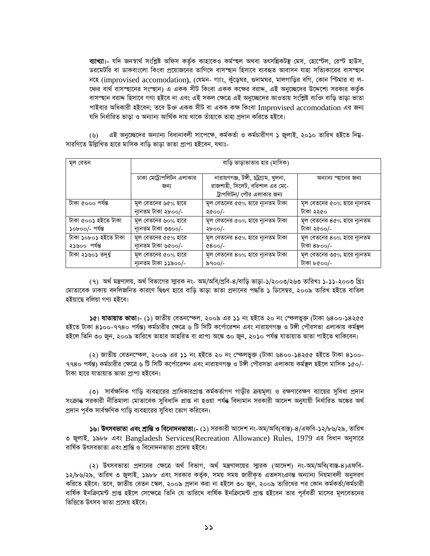ব্যাখ্যা - যদি জনস্বার্থ সংশ্লিষ্ট অফিস কর্তৃক কাহাকেও কর্মস্ছল অথবা তৎসন্নিকটস্থ মেস, হোস্টেল, রেস্ট হাউস, ডরমেটরি বা ডাকবাংলো কিংবা প্রয়োজনের তাগিদে বাসস্হান হিসাবে ব্যবহৃত আবাসন যাহা সত্যিকারের বাসস্হান নহে (improvised accomodation), (যেমন- গ্যাং, কুঁড়েঘর, গুদামঘর, মালগাড়ির বগি, কোন স্টিমার বা ল-ঞের বার্থ বাসস্ছানের সংস্ছান) এ একক সীট কিংবা একক কক্ষের বরাদ, এই অনুচ্ছেদের উদ্দেশ্যে সরকার কর্তৃক বাসস্হান বরাদ্দ হিসাবে গণ্য হইবে না এবং এই সকল ক্ষেত্রে এই অনচ্ছেদের আওতায় সংশ্লিষ্ট ব্যক্তি বাডি ভাডা ভাতা পাইবার অধিকারী হইবেন: তবে উজ্ঞ একক সীট বা একক কক্ষ কিংবা Improvised accomodation এর জন্য যদি নিৰ্ধারিত ভাডা ও অন্যান্য আৰ্থিক দায় থাকে তাঁহাকে তাহা প্ৰদান করিতে হইবে।

এই অনুচ্ছেদের অন্যান্য বিধানাবলী সাপেক্ষে, কর্মকর্তা ও কর্মচারীগণ ১ জুলাই, ২০১০ তারিখ হইতে নিয়ু- $(\mathcal{Y})$ সারণিতে উল্লিখিত হারে মাসিক বাডি ভাডা ভাতা প্রাপ্য হইবেন, যথাঃ-

| মূল বেতন             | বাড়ি ভাড়াভাতার হার (মাসিক)    |                                                                                                       |                             |
|----------------------|---------------------------------|-------------------------------------------------------------------------------------------------------|-----------------------------|
|                      | ঢাকা মেট্রোপলিটন এলাকার<br>জন্য | নারায়ণগঞ্জ, টঙ্গী, চট্টগ্রাম, খুলনা,<br>রাজশাহী, সিলেট, বরিশাল এর মে-ে<br>ট্রাপলিটন/ পৌর এলাকার জন্য | অন্যান্য স্ছানের জন্য       |
| টাকা ৫০০০ পৰ্যন্ত    | মূল বেতনের ৬৫% হারে             | মূল বেতনের ৫৫% হারে ন্যূনতম টাকা                                                                      | মূল বেতনের ৫০% হারে ন্যূনতম |
|                      | ন্যুনতম টাকা ২৮০০/-             | ২৫০০/-                                                                                                | টাকা ২২৫০                   |
| টাকা ৫০০১ হইতে টাকা  | মূল বেতনের ৬০% হারে             | মূল বেতনের ৫০% হারে ন্যূনতম টাকা                                                                      | মূল বেতনের ৪৫% হারে ন্যূনতম |
| ১০৮০০/- পৰ্যন্ত      | ন্যুনতম টাকা ৩৩০০/-             | ২৮০০/-                                                                                                | টাকা ২৫০০/-                 |
| টাকা ১০৮০১ হইতে টাকা | মূল বেতনের ৫৫% হারে             | মূল বেতনের ৪৫% হারে ন্যূনতম টাকা                                                                      | মূল বেতনের ৪০% হারে ন্যূনতম |
| ২১৬০০ পৰ্যন্ত        | ন্যুনতম টাকা ৬৫০০/-             | $&8$ 00/-                                                                                             | টাকা ৪৮০০/-                 |
| টাকা ২১৬০১ তদূৰ্ধ্ব  | মূল বেতনের ৫০% হারে             | মূল বেতনের ৪০% হারে ন্যূনতম টাকা                                                                      | মূল বেতনের ৩৫% হারে ন্যূনতম |
|                      | ন্যুনতম টাকা ১১৯০০/-            | ৯৭০০/-                                                                                                | টাকা ৮৫০০/-                 |

(৭) অর্থ মন্ত্রণালয়, অর্থ বিভাগের সাুারক নং- অম/অবি/প্রবি-৪/বাড়ি ভাড়া-১/২০০৩/২৬৩ তারিখঃ ১-১১-২০০৩ খ্রিঃ মোতাবেক ঢাকায় বদলিজনিত কারণে দ্বিগুণ হারে বাড়ি ভাড়া ভাতা প্রদানের পদ্ধতি ১ ডিসেম্বর, ২০০৯ তারিখ হইতে বাতিল হইয়াছে বলিয়া গণ্য হইবে।

১৫। **যাতায়াত ভাতা।- (১)** জাতীয় বেতনস্ফেল, ২০০৯ এর ১১ নং হইতে ২০ নং স্ফেলভুক্ত (টাকা ৬৪০০-১৪২৫৫ হইতে টাকা ৪১০০-৭৭৪০ পর্যন্ত) কর্মচারীর ক্ষেত্রে ৬ টি সিটি কর্পোরেশন এবং নারায়ণগঞ্জ ও টঙ্গী পৌরসভা এলাকায় কর্মন্থল হইলে তিনি ৩০ জুন, ২০০৯ তারিখে তাহার আহরিত বা প্রাপ্য অঙ্কে ৩০ জুন, ২০১০ পর্যন্ত যাতায়াত ভাতা পাইতে থাকিবেন।

(২) জাতীয় বেতনস্ফেল, ২০০৯ এর ১১ নং হইতে ২০ নং স্ফেলভুক্ত (টাকা ৬৪০০-১৪২৫৫ হইতে টাকা ৪১০০-৭৭৪০ পর্যন্ত) কর্মচারীর ক্ষেত্রে ৬ টি সিটি কর্পোরেশন এবং নারায়ণগঞ্জ ও টঙ্গী পৌরসভা এলাকায় কর্মস্থল হইলে মাসিক ১৫০/-টাকা হারে যাতায়াত ভাতা পাপ্য হইবেন।

(৩) সার্বক্ষনিক গাডি ব্যবহারের প্রাধিকারপ্রাপ্ত কর্মকর্তাগণ গাডীর ক্রয়মূল্য ও রক্ষণাবেক্ষণ ব্যায়ের সুবিধা প্রদান সংক্ৰান্ত সরকারী নীতিমালা মোতাবেক সুবিধাদি প্রাপ্ত না হওয়া পর্যন্ত বিদ্যমান সরকারী আদেশ অনুযায়ী নির্ধারিত অস্কের অর্থ প্রদান পর্বক সার্বক্ষণিক গাডি ব্যবহারের সবিধা ভোগ করিবেন।

১৬। উৎসবভাতা এবং শ্রান্তি ও বিনোদনভাতা।- (১) সরকারী আদেশ নং-অম/অবি(বাস্ত)-৪/এফবি-১২/৮৬/২৯. তারিখ ৩ জুলাই, ১৯৮৮ এবং Bangladesh Services(Recreation Allowance) Rules, 1979 এর বিধান অনুসারে বাৰ্ষিক উৎসবভাতা এবং শ্ৰান্তি ও বিনোদনভাতা প্ৰদেয় হইবে।

(২) উৎসবভাতা প্রদানের ক্ষেত্রে অর্থ বিভাগ, অর্থ মন্ত্রণালয়ের স্মারক (আদেশ) নং-অম/অবি(বাস্ত-৪)এফবি-১২/৮৬/২৯, তারিখ ৩ জুলাই, ১৯৮৮ এবং সরকার কর্তৃক, সময় সময় জারীকৃত এতদসংক্রান্ত অন্যান্য নিয়মাবলী অনুসরণ করিতে হইবে। তবে, জাতীয় বেতন স্কেল, ২০০৯ প্রদান করা না হইলে ৩০ জুন, ২০০৯ তারিখের পর কোন কর্মকর্তা/কর্মচারী বার্ষিক ইনক্রিমেন্ট প্রাপ্ত হইলে সেক্ষেত্রে তিনি যে তারিখে বার্ষিক ইনক্রিমেন্ট প্রাপ্ত হইবেন তার পূর্ববর্তী মাসের মূলবেতনের ভিত্তিতে উৎসব ভাতা প্ৰদেয় হইবে।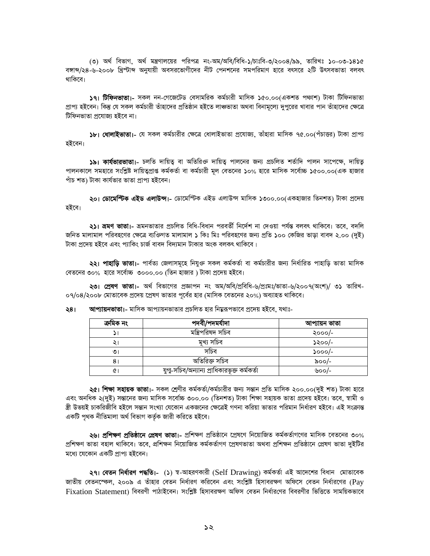(৩) অর্থ বিভাগ, অর্থ মন্ত্রণালয়ের পরিপত্র নং-অম/অবি/বিধি-১/চাঃবি-৩/২০০৪/৯৯, তারিখঃ ১০-০৩-১৪১৫ বঙ্গান্দ/২৪-৬-২০০৮ খ্রিস্টাব্দ অনুযায়ী অবসরভোগীদের নীট পেনশনের সমপরিমাণ হারে বৎসরে ২টি উৎসবভাতা বলবৎ থাকিবে।

১৭। টিফিনভাতা।- সকল নন-গেজেটেড বেসামরিক কর্মচারী মাসিক ১৫০.০০(একশত পথ্যশ) টাকা টিফিনভাতা প্রাপ্য হইবেন। কিন্তু যে সকল কর্মচারী তাঁহাদের প্রতিষ্ঠান হইতে লাঞ্চভাতা অথবা বিনামূল্যে দুপুরের খাবার পান তাঁহাদের ক্ষেত্রে টিফিনভাতা প্ৰযোজ্য হইবে না।

১৮। ধোলাইভাতা।- যে সকল কর্মচারীর ক্ষেত্রে ধোলাইভাতা প্রযোজ্য, তাঁহারা মাসিক ৭৫.০০(পঁচাত্তর) টাকা প্রাপ্য হইবেন।

১৯। কাৰ্যভাৱভাতা - চলতি দায়িত বা অতিরিক্ত দায়িত পালনের জন্য প্রচলিত শর্তাদি পালন সাপেক্ষে, দায়িত পালনকালে সমহারে সংশ্লিষ্ট দায়িত্বপ্রাপ্ত কর্মকর্তা বা কর্মচারী মূল বেতনের ১০% হারে মাসিক সর্বোচ্চ ১৫০০.০০(এক হাজার পাঁচ শত) টাকা কাৰ্যভার ভাতা প্রাপ্য হইবেন।

**২০। ডোমেন্টিক এইড এলাউন্স।-** ডোমেস্টিক এইড এলাউন্স মাসিক ১৩০০.০০(একহাজার তিনশত) টাকা প্রদেয় হইবে।

২১। ভ্রমণ ভাতা = ভ্রমনভাতার প্রচলিত বিধি-বিধান পরবর্তী নির্দেশ না দেওয়া পর্যন্ত বলবৎ থাকিবে । তবে, বদলি জনিত মালামাল পরিবহণের ক্ষেত্রে ব্যক্তিগত মালামাল ১ কিঃ মিঃ পরিবহণের জন্য প্রতি ১০০ কেজির ভাডা বাবদ ২.০০ (দুই) টাকা প্রদেয় হইবে এবং প্যাকিং চার্জ বাবদ বিদ্যমান টাকার অংক বলকৎ থাকিবে।

২২। পাহাড়ি ভাতা।- পার্বত্য জেলাসমূহে নিযুক্ত সকল কর্মকর্তা বা কর্মচারীর জন্য নির্ধারিত পাহাডি ভাতা মাসিক বেতনের ৩০% হারে সর্বোচ্চ ৩০০০.০০ (তিন হাজার ) টাকা প্রদেয় হইবে।

২৩। প্রেষণ ভাতা - অর্থ বিভাগের প্রজ্ঞাপন নং অম/অবি/প্রবিধি-৬/প্রঃমঃ/ভাতা-৬/২০০৭(অংশ)/ ৩১ তারিখ-০৭/০৪/২০০৮ মোতাবেক প্রদেয় প্রেষণ ভাতার পর্বের হার (মাসিক বেতনের ২০%) অব্যাহত থাকিবে।

আপ্যায়নভাতা।- মাসিক আপ্যায়নভাতার প্রচলিত হার নিয়ুরূপভাবে প্রদেয় হইবে, যথাঃ-২৪।

| ক্ৰমিক নং | পদবী/পদমর্যাদা                              | আপ্যায়ন ভাতা         |
|-----------|---------------------------------------------|-----------------------|
|           | মন্ত্ৰিপরিষদ সচিব                           | ২০০০/-                |
|           | মুখ্য সচিব                                  | ১২০০/-                |
| ৩।        | সচিব                                        | $\mathcal{S}^{OOO/-}$ |
| 8         | অতিরিক্ত সচিব                               | ৯০০/-                 |
|           | যুগু-সচিব/অন্যান্য প্রাধিকারভূক্ত কর্মকর্তা | ৬০০/-                 |

২৫। শিক্ষা সহায়ক ভাতা।- সকল শ্রেণীর কর্মকর্তা/কর্মচারীর জন্য সন্তান প্রতি মাসিক ২০০.০০(দই শত) টাকা হারে এবং অনধিক ২(দুই) সন্তানের জন্য মাসিক সর্বোচ্চ ৩০০.০০ (তিনশত) টাকা শিক্ষা সহায়ক ভাতা প্রদেয় হইবে। তবে, স্বামী ও স্ত্রী উভয়ই চাকরিজীবি হইলে সন্তান সংখ্যা যেকোন একজনের ক্ষেত্রেই গণনা করিয়া ভাতার পরিমান নির্ধারণ হইবে। এই সংক্রান্ত একটি পৃথক নীতিমালা অৰ্থ বিভাগ কৰ্তৃক জারী করিতে হইবে।

২৬। প্ৰশিক্ষণ প্ৰতিষ্ঠানে প্ৰেষণ ভাতা।- প্ৰশিক্ষণ প্ৰতিষ্ঠানে প্ৰেষণে নিয়োজিত কৰ্মকৰ্তাগণের মাসিক বেতনের ৩০% প্রশিক্ষণ ভাতা বহাল থাকিবে। তবে, প্রশিক্ষন নিয়োজিত কর্মকর্তাগণ প্রেষণভাতা অথবা প্রশিক্ষন প্রতিষ্ঠানে প্রেষণ ভাতা দুইটির মধ্যে যেকোন একটি প্রাপ্য হইবেন।

২৭। বেতন নির্ধারণ পদ্ধতি।- (১) স্ব-আহরণকারী (Self Drawing) কর্মকর্তা এই আদেশের বিধান মোতাবেক জাতীয় বেতনস্কেল, ২০০৯ এ তাঁহার বেতন নির্ধারণ করিবেন এবং সংশ্লিষ্ট হিসাবরক্ষণ অফিসে বেতন নির্ধারণের (Pav Fixation Statement) বিবরণী পাঠাইবেন। সংশ্লিষ্ট হিসাবরক্ষণ অফিস বেতন নির্ধারণের বিবরণীর ভিত্তিতে সাময়িকভাবে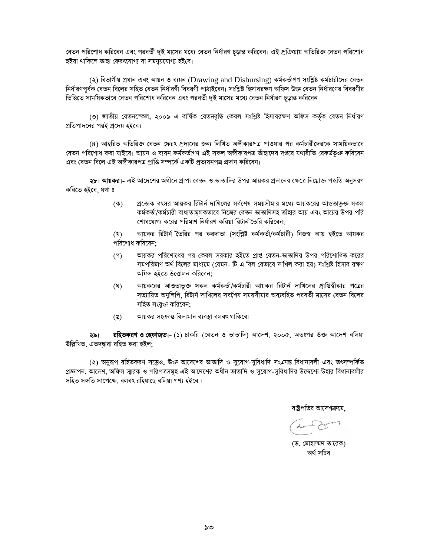বেতন পরিশোধ করিবেন এবং পরবর্তী দুই মাসের মধ্যে বেতন নির্ধারণ চূড়ান্ত করিবেন। এই প্রক্রিয়ায় অতিরিক্ত বেতন পরিশোধ হইয়া থাকিলে তাহা ফেরৎযোগ্য বা সমন্বয়যোগ্য হইবে।

(২) বিভাগীয় প্রধান এবং আয়ন ও ব্যয়ন (Drawing and Disbursing) কর্মকর্তাগণ সংশ্লিষ্ট কর্মচারীদের বেতন নির্ধারণপূর্বক বেতন বিলের সহিত বেতন নির্ধারণী বিবরণী পাঠাইবেন। সংশ্লিষ্ট হিসাবরক্ষণ অফিস উক্ত বেতন নির্ধারণের বিবরণীর ভিত্তিতে সাময়িকভাবে বেতন পরিশোধ করিবেন এবং পরবর্তী দই মাসের মধ্যে বেতন নির্ধারণ চডান্ত করিবেন।

(৩) জাতীয় বেতনস্ফেল, ২০০৯ এ বার্ষিক বেতনবৃদ্ধি কেবল সংশ্লিষ্ট হিসাবরক্ষণ অফিস কর্তৃক বেতন নির্ধারণ প্রতিপাদনের পরই প্রদেয় হইবে।

(৪) আহরিত অতিরিক্ত বেতন ফেরৎ প্রদানের জন্য লিখিত অঙ্গীকারপত্র পাওয়ার পর কর্মচারীদেরকে সাময়িকভাবে বেতন পরিশোধ করা যাইবে। আয়ন ও ব্যয়ন কর্মকর্তাগণ এই সকল অঙ্গীকারপত্র তাঁহাদের দপ্তরে যথারীতি রেকর্ডভূক্ত করিবেন এবং বেতন বিলে এই অঙ্গীকারপত্র প্রাপ্তি সম্পর্কে একটি প্রত্যয়নপত্র প্রদান করিবেন।

**২৮। আয়কর।**- এই আদেশের অধীনে প্রাপ্য বেতন ও ভাতাদির উপর আয়কর প্রদানের ক্ষেত্রে নিম্নোজ পদ্ধতি অনুসরণ করিতে হইবে, যথা ঃ

> প্রত্যেক বৎসর আয়কর রিটার্ন দাখিলের সর্বশেষ সময়সীমার মধ্যে আয়করের আওতাভূক্ত সকল  $(\overline{\Phi})$ কর্মকর্তা/কর্মচারী বাধ্যতামূলকভাবে নিজের বেতন ভাতাদিসহ তাঁহার আয় এবং আয়ের উপর পরি শোধযোগ্য করের পরিমাণ নির্ধারণ করিয়া রিটার্ন তৈরি করিবেন:

> আয়কর রিটার্ন তৈরির পর করদাতা (সংশ্লিষ্ট কর্মকর্তা/কর্মচারী) নিজস্ব আয় হইতে আয়কর (খ) পরিশোধ করিবেন:

- আয়কর পরিশোধের পর কেবল সরকার হইতে প্রাপ্ত বেতন-ভাতাদির উপর পরিশোধিত করের  $($ গ) সমপরিমাণ অর্থ বিলের মাধ্যমে (যেমন- টি এ বিল যেভাবে দাখিল করা হয়) সংশ্লিষ্ট হিসাব রক্ষণ অফিস হইতে উত্তোলন করিবেন:
- আয়করের আওতাভূক্ত সকল কর্মকর্তা/কর্মচারী আয়কর রিটার্ন দাখিলের প্রাপ্তিস্বীকার পত্রের  $(\nabla)$ সত্যায়িত অনুলিপি, রিটার্ন দাখিলের সবশেষ সময়সীমার অব্যবহিত পরবর্তী মাসের বেতন বিলের সহিত সংযুক্ত করিবেন:
- আয়কর সংএনন্ত বিদ্যমান ব্যবস্থা বলবৎ থাকিবে।  $(\mathscr{G})$

রহিতকরণ ও হেফাজত।- (১) চাকরি (বেতন ও ভাতাদি) আদেশ, ২০০৫, অতঃপর উক্ত আদেশ বলিয়া ২৯। উল্লিখিত, এতদদ্বারা রহিত করা হইল;

(২) অনুরূপ রহিতকরণ সত্ত্বেও, উক্ত আদেশের ভাতাদি ও সুযোগ-সুবিধাদি সংক্রান্ত বিধানাবলী এবং তৎসম্পর্কিত প্রজ্ঞাপন, আদেশ, অফিস স্মারক ও পরিপত্রসমূহ এই আদেশের অধীন ভাতাদি ও সুযোগ-সুবিধাদির উদ্দেশ্যে উহার বিধানাবলীর সহিত সঙ্গতি সাপেক্ষে, বলবৎ রহিয়াছে বলিয়া গণ্য হইবে।

রাষ্টপতির আদেশক্রমে

(ড. মোহাম্মদ তারেক) অৰ্থ সচিব